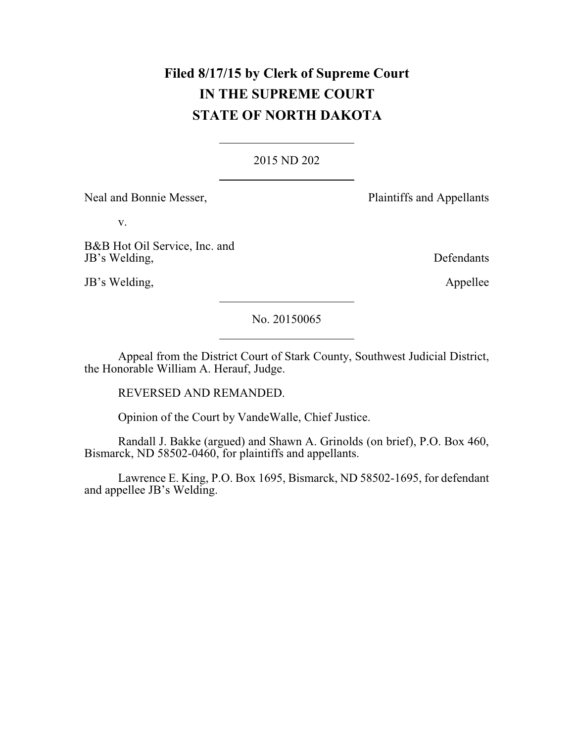# **Filed 8/17/15 by Clerk of Supreme Court IN THE SUPREME COURT STATE OF NORTH DAKOTA**

### 2015 ND 202

Neal and Bonnie Messer, Plaintiffs and Appellants

v.

B&B Hot Oil Service, Inc. and JB's Welding, Defendants

JB's Welding, Appellee

No. 20150065

Appeal from the District Court of Stark County, Southwest Judicial District, the Honorable William A. Herauf, Judge.

REVERSED AND REMANDED.

Opinion of the Court by VandeWalle, Chief Justice.

Randall J. Bakke (argued) and Shawn A. Grinolds (on brief), P.O. Box 460, Bismarck, ND 58502-0460, for plaintiffs and appellants.

Lawrence E. King, P.O. Box 1695, Bismarck, ND 58502-1695, for defendant and appellee JB's Welding.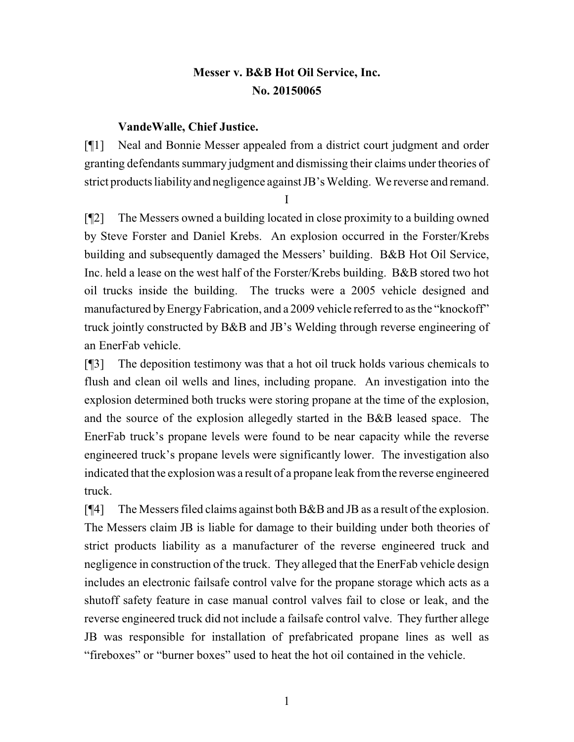## **Messer v. B&B Hot Oil Service, Inc. No. 20150065**

### **VandeWalle, Chief Justice.**

[¶1] Neal and Bonnie Messer appealed from a district court judgment and order granting defendants summary judgment and dismissing their claims under theories of strict products liability and negligence against JB's Welding. We reverse and remand.

I

[¶2] The Messers owned a building located in close proximity to a building owned by Steve Forster and Daniel Krebs. An explosion occurred in the Forster/Krebs building and subsequently damaged the Messers' building. B&B Hot Oil Service, Inc. held a lease on the west half of the Forster/Krebs building. B&B stored two hot oil trucks inside the building. The trucks were a 2005 vehicle designed and manufactured by Energy Fabrication, and a 2009 vehicle referred to as the "knockoff" truck jointly constructed by B&B and JB's Welding through reverse engineering of an EnerFab vehicle.

[¶3] The deposition testimony was that a hot oil truck holds various chemicals to flush and clean oil wells and lines, including propane. An investigation into the explosion determined both trucks were storing propane at the time of the explosion, and the source of the explosion allegedly started in the B&B leased space. The EnerFab truck's propane levels were found to be near capacity while the reverse engineered truck's propane levels were significantly lower. The investigation also indicated that the explosion was a result of a propane leak fromthe reverse engineered truck.

[¶4] The Messers filed claims against both B&B and JB as a result of the explosion. The Messers claim JB is liable for damage to their building under both theories of strict products liability as a manufacturer of the reverse engineered truck and negligence in construction of the truck. They alleged that the EnerFab vehicle design includes an electronic failsafe control valve for the propane storage which acts as a shutoff safety feature in case manual control valves fail to close or leak, and the reverse engineered truck did not include a failsafe control valve. They further allege JB was responsible for installation of prefabricated propane lines as well as "fireboxes" or "burner boxes" used to heat the hot oil contained in the vehicle.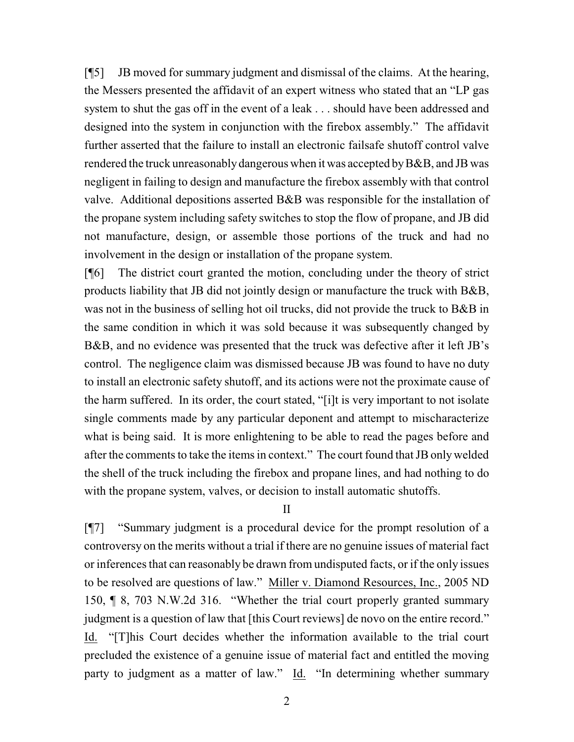[¶5] JB moved for summary judgment and dismissal of the claims. At the hearing, the Messers presented the affidavit of an expert witness who stated that an "LP gas system to shut the gas off in the event of a leak . . . should have been addressed and designed into the system in conjunction with the firebox assembly." The affidavit further asserted that the failure to install an electronic failsafe shutoff control valve rendered the truck unreasonably dangerous when it was accepted by B&B, and JB was negligent in failing to design and manufacture the firebox assembly with that control valve. Additional depositions asserted B&B was responsible for the installation of the propane system including safety switches to stop the flow of propane, and JB did not manufacture, design, or assemble those portions of the truck and had no involvement in the design or installation of the propane system.

[¶6] The district court granted the motion, concluding under the theory of strict products liability that JB did not jointly design or manufacture the truck with B&B, was not in the business of selling hot oil trucks, did not provide the truck to B&B in the same condition in which it was sold because it was subsequently changed by B&B, and no evidence was presented that the truck was defective after it left JB's control. The negligence claim was dismissed because JB was found to have no duty to install an electronic safety shutoff, and its actions were not the proximate cause of the harm suffered. In its order, the court stated, "[i]t is very important to not isolate single comments made by any particular deponent and attempt to mischaracterize what is being said. It is more enlightening to be able to read the pages before and after the comments to take the items in context." The court found that JB onlywelded the shell of the truck including the firebox and propane lines, and had nothing to do with the propane system, valves, or decision to install automatic shutoffs.

II

[¶7] "Summary judgment is a procedural device for the prompt resolution of a controversy on the merits without a trial if there are no genuine issues of material fact or inferences that can reasonably be drawn from undisputed facts, or if the only issues to be resolved are questions of law." Miller v. Diamond Resources, Inc., 2005 ND 150, ¶ 8, 703 N.W.2d 316. "Whether the trial court properly granted summary judgment is a question of law that [this Court reviews] de novo on the entire record." Id. "[T]his Court decides whether the information available to the trial court precluded the existence of a genuine issue of material fact and entitled the moving party to judgment as a matter of law." Id. "In determining whether summary

2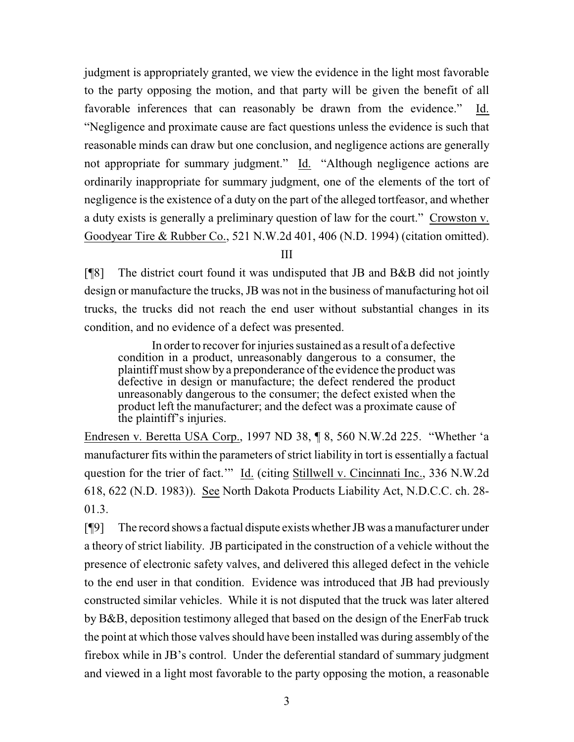judgment is appropriately granted, we view the evidence in the light most favorable to the party opposing the motion, and that party will be given the benefit of all favorable inferences that can reasonably be drawn from the evidence." Id. "Negligence and proximate cause are fact questions unless the evidence is such that reasonable minds can draw but one conclusion, and negligence actions are generally not appropriate for summary judgment." Id. "Although negligence actions are ordinarily inappropriate for summary judgment, one of the elements of the tort of negligence is the existence of a duty on the part of the alleged tortfeasor, and whether a duty exists is generally a preliminary question of law for the court." Crowston v. Goodyear Tire & Rubber Co., 521 N.W.2d 401, 406 (N.D. 1994) (citation omitted).

III

[¶8] The district court found it was undisputed that JB and B&B did not jointly design or manufacture the trucks, JB was not in the business of manufacturing hot oil trucks, the trucks did not reach the end user without substantial changes in its condition, and no evidence of a defect was presented.

In order to recover for injuries sustained as a result of a defective condition in a product, unreasonably dangerous to a consumer, the plaintiff must show by a preponderance of the evidence the product was defective in design or manufacture; the defect rendered the product unreasonably dangerous to the consumer; the defect existed when the product left the manufacturer; and the defect was a proximate cause of the plaintiff's injuries.

Endresen v. Beretta USA Corp., 1997 ND 38, ¶ 8, 560 N.W.2d 225. "Whether 'a manufacturer fits within the parameters of strict liability in tort is essentially a factual question for the trier of fact.'" Id. (citing Stillwell v. Cincinnati Inc., 336 N.W.2d 618, 622 (N.D. 1983)). See North Dakota Products Liability Act, N.D.C.C. ch. 28- 01.3.

[¶9] The record shows a factual dispute exists whether JB was a manufacturer under a theory of strict liability. JB participated in the construction of a vehicle without the presence of electronic safety valves, and delivered this alleged defect in the vehicle to the end user in that condition. Evidence was introduced that JB had previously constructed similar vehicles. While it is not disputed that the truck was later altered by B&B, deposition testimony alleged that based on the design of the EnerFab truck the point at which those valves should have been installed was during assembly of the firebox while in JB's control. Under the deferential standard of summary judgment and viewed in a light most favorable to the party opposing the motion, a reasonable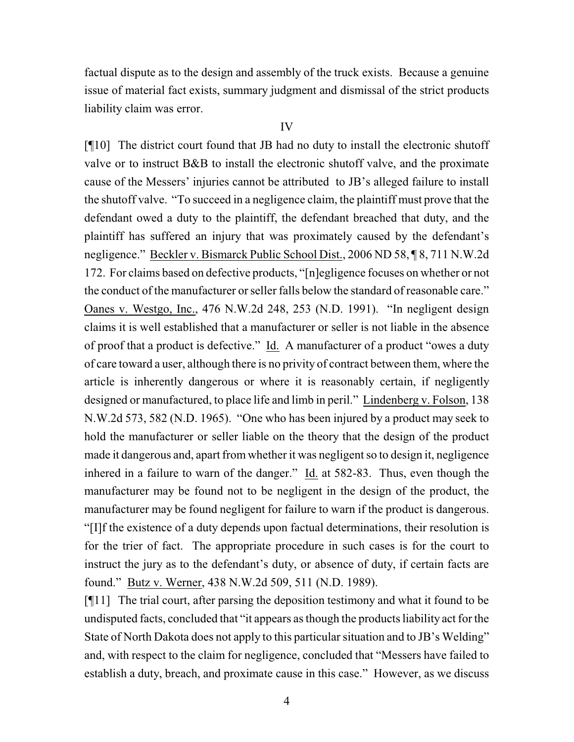factual dispute as to the design and assembly of the truck exists. Because a genuine issue of material fact exists, summary judgment and dismissal of the strict products liability claim was error.

#### IV

[¶10] The district court found that JB had no duty to install the electronic shutoff valve or to instruct B&B to install the electronic shutoff valve, and the proximate cause of the Messers' injuries cannot be attributed to JB's alleged failure to install the shutoff valve. "To succeed in a negligence claim, the plaintiff must prove that the defendant owed a duty to the plaintiff, the defendant breached that duty, and the plaintiff has suffered an injury that was proximately caused by the defendant's negligence." Beckler v. Bismarck Public School Dist., 2006 ND 58, ¶ 8, 711 N.W.2d 172. For claims based on defective products, "[n]egligence focuses on whether or not the conduct of the manufacturer or seller falls below the standard of reasonable care." Oanes v. Westgo, Inc., 476 N.W.2d 248, 253 (N.D. 1991). "In negligent design claims it is well established that a manufacturer or seller is not liable in the absence of proof that a product is defective." Id. A manufacturer of a product "owes a duty of care toward a user, although there is no privity of contract between them, where the article is inherently dangerous or where it is reasonably certain, if negligently designed or manufactured, to place life and limb in peril." Lindenberg v. Folson, 138 N.W.2d 573, 582 (N.D. 1965). "One who has been injured by a product may seek to hold the manufacturer or seller liable on the theory that the design of the product made it dangerous and, apart from whether it was negligent so to design it, negligence inhered in a failure to warn of the danger." Id. at 582-83. Thus, even though the manufacturer may be found not to be negligent in the design of the product, the manufacturer may be found negligent for failure to warn if the product is dangerous. "[I]f the existence of a duty depends upon factual determinations, their resolution is for the trier of fact. The appropriate procedure in such cases is for the court to instruct the jury as to the defendant's duty, or absence of duty, if certain facts are found." Butz v. Werner, 438 N.W.2d 509, 511 (N.D. 1989).

[¶11] The trial court, after parsing the deposition testimony and what it found to be undisputed facts, concluded that "it appears as though the products liability act for the State of North Dakota does not apply to this particular situation and to JB's Welding" and, with respect to the claim for negligence, concluded that "Messers have failed to establish a duty, breach, and proximate cause in this case." However, as we discuss